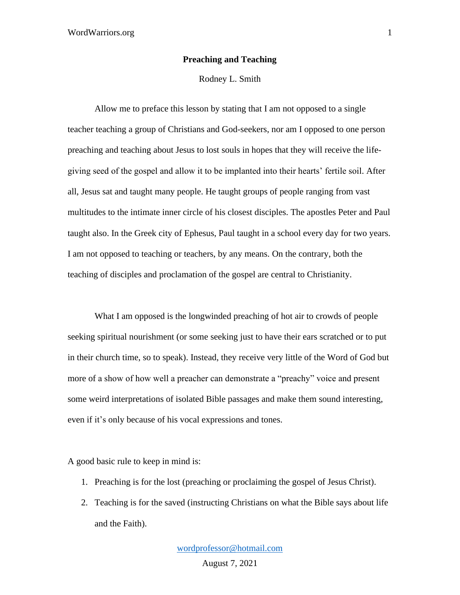## **Preaching and Teaching**

Rodney L. Smith

Allow me to preface this lesson by stating that I am not opposed to a single teacher teaching a group of Christians and God-seekers, nor am I opposed to one person preaching and teaching about Jesus to lost souls in hopes that they will receive the lifegiving seed of the gospel and allow it to be implanted into their hearts' fertile soil. After all, Jesus sat and taught many people. He taught groups of people ranging from vast multitudes to the intimate inner circle of his closest disciples. The apostles Peter and Paul taught also. In the Greek city of Ephesus, Paul taught in a school every day for two years. I am not opposed to teaching or teachers, by any means. On the contrary, both the teaching of disciples and proclamation of the gospel are central to Christianity.

What I am opposed is the longwinded preaching of hot air to crowds of people seeking spiritual nourishment (or some seeking just to have their ears scratched or to put in their church time, so to speak). Instead, they receive very little of the Word of God but more of a show of how well a preacher can demonstrate a "preachy" voice and present some weird interpretations of isolated Bible passages and make them sound interesting, even if it's only because of his vocal expressions and tones.

A good basic rule to keep in mind is:

- 1. Preaching is for the lost (preaching or proclaiming the gospel of Jesus Christ).
- 2. Teaching is for the saved (instructing Christians on what the Bible says about life and the Faith).